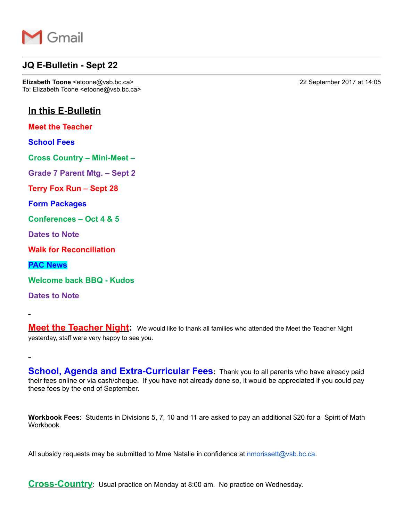

## **JQ E-Bulletin - Sept 22**

**Elizabeth Toone** <etoone@vsb.bc.ca> 22 September 2017 at 14:05 To: Elizabeth Toone <etoone@vsb.bc.ca>

# **In this E-Bulletin**

**Meet the Teacher**

**School Fees**

**Cross Country – Mini-Meet –** 

**Grade 7 Parent Mtg. – Sept 27**

**Terry Fox Run – Sept 28**

**Form Packages**

**Conferences – Oct 4 & 5**

**Dates to Note**

**Walk for Reconciliation**

**PAC News**

Welcome back **BBQ** - Kudos

**Dates to Note**

**Meet the Teacher Night:** We would like to thank all families who attended the Meet the Teacher Night yesterday, staff were very happy to see you.

**School, Agenda and Extra-Curricular Fees**: Thank you to all parents who have already paid their fees online or via cash/cheque. If you have not already done so, it would be appreciated if you could pay these fees by the end of September.

**Workbook Fees**: Students in Divisions 5, 7, 10 and 11 are asked to pay an additional \$20 for a Spirit of Math Workbook.

All subsidy requests may be submitted to Mme Natalie in confidence at nmorissett@vsb.bc.ca.

**Cross-Country**: Usual practice on Monday at 8:00 am. No practice on Wednesday.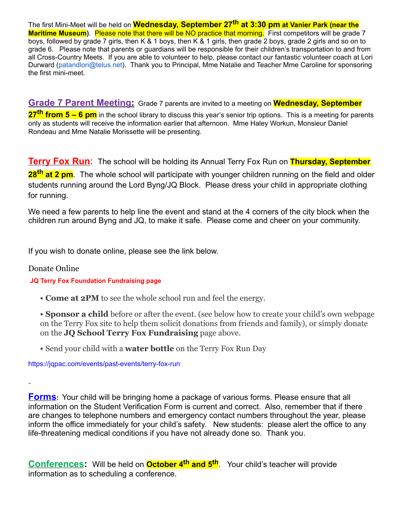The first MiniMeet will be held on **Wednesday, September 27th at 3:30 pm at Vanier Park (near the Maritime Museum**). Please note that there will be NO practice that morning. First competitors will be grade 7 boys, followed by grade 7 girls, then K & 1 boys, then K & 1 girls, then grade 2 boys, grade 2 girls and so on to grade 6. Please note that parents or guardians will be responsible for their children's transportation to and from all Cross-Country Meets. If you are able to volunteer to help, please contact our fantastic volunteer coach at Lori Durward (patandlori@telus.net). Thank you to Principal, Mme Natalie and Teacher Mme Caroline for sponsoring the first mini-meet.

**Grade 7 Parent Meeting:** Grade 7 parents are invited to a meeting on **Wednesday, September 27th from 5 – 6 pm** in the school library to discuss this year's senior trip options. This is a meeting for parents only as students will receive the information earlier that afternoon. Mme Haley Workun, Monsieur Daniel Rondeau and Mme Natalie Morissette will be presenting.

**Terry Fox Run**: The school will be holding its Annual Terry Fox Run on **Thursday, September 28th at 2 pm**. The whole school will participate with younger children running on the field and older students running around the Lord Byng/JQ Block. Please dress your child in appropriate clothing for running.

We need a few parents to help line the event and stand at the 4 corners of the city block when the children run around Byng and JQ, to make it safe. Please come and cheer on your community.

If you wish to donate online, please see the link below.

## Donate Online

## **JQ Terry Fox Foundation Fundraising page**

**Come at 2PM** to see the whole school run and feel the energy.

**Sponsor a child** before or after the event. (see below how to create your child's own webpage on the Terry Fox site to help them solicit donations from friends and family), or simply donate on the **JQ School Terry Fox Fundraising** page above.

Send your child with a **water bottle** on the Terry Fox Run Day

https://jqpac.com/events/past-events/terry-fox-run

**Forms**: Your child will be bringing home a package of various forms. Please ensure that all information on the Student Verification Form is current and correct. Also, remember that if there are changes to telephone numbers and emergency contact numbers throughout the year, please inform the office immediately for your child's safety. New students: please alert the office to any life-threatening medical conditions if you have not already done so. Thank you.

**Conferences:** Will be held on **October 4<sup>th</sup> and 5<sup>th</sup>**. Your child's teacher will provide information as to scheduling a conference.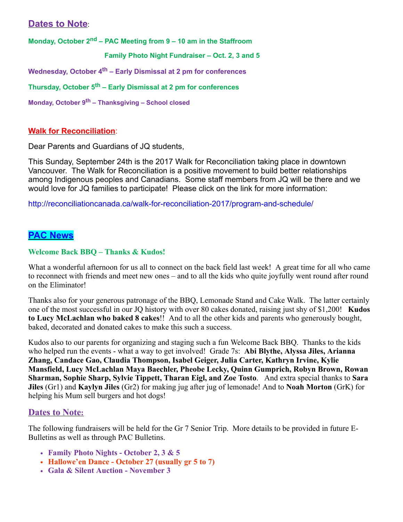# **Dates to Note**:

**Monday, October 2nd – PAC Meeting from 9 – 10 am in the Staffroom**

 **Family Photo Night Fundraiser – Oct. 2, 3 and 5**

**Wednesday, October 4th – Early Dismissal at 2 pm for conferences**

**Thursday, October 5th – Early Dismissal at 2 pm for conferences**

**Monday, October 9th – Thanksgiving – School closed**

### **Walk for Reconciliation**:

Dear Parents and Guardians of JQ students,

This Sunday, September 24th is the 2017 Walk for Reconciliation taking place in downtown Vancouver. The Walk for Reconciliation is a positive movement to build better relationships among Indigenous peoples and Canadians. Some staff members from JQ will be there and we would love for JQ families to participate! Please click on the link for more information:

http://reconciliationcanada.ca/walk-for-reconciliation-2017/program-and-schedule/

# **PAC News**

#### **Welcome Back BBQ – Thanks & Kudos!**

What a wonderful afternoon for us all to connect on the back field last week! A great time for all who came to reconnect with friends and meet new ones – and to all the kids who quite joyfully went round after round on the Eliminator!

Thanks also for your generous patronage of the BBQ, Lemonade Stand and Cake Walk. The latter certainly one of the most successful in our JQ history with over 80 cakes donated, raising just shy of \$1,200! **Kudos to Lucy McLachlan who baked 8 cakes**!! And to all the other kids and parents who generously bought, baked, decorated and donated cakes to make this such a success.

Kudos also to our parents for organizing and staging such a fun Welcome Back BBQ. Thanks to the kids who helped run the events - what a way to get involved! Grade 7s: Abi Blythe, Alyssa Jiles, Arianna **Zhang, Candace Gao, Claudia Thompson, Isabel Geiger, Julia Carter, Kathryn Irvine, Kylie Mansfield, Lucy McLachlan Maya Baechler, Pheobe Lecky, Quinn Gumprich, Robyn Brown, Rowan Sharman, Sophie Sharp, Sylvie Tippett, Tharan Eigl, and Zoe Tosto**. And extra special thanks to **Sara Jiles** (Gr1) and **Kaylyn Jiles** (Gr2) for making jug after jug of lemonade! And to **Noah Morton** (GrK) for helping his Mum sell burgers and hot dogs!

## **Dates to Note:**

The following fundraisers will be held for the Gr 7 Senior Trip. More details to be provided in future E-Bulletins as well as through PAC Bulletins.

- **Family Photo Nights October 2, 3 & 5**
- Hallowe'en Dance October 27 (usually gr 5 to 7)
- **Gala & Silent Auction November 3**